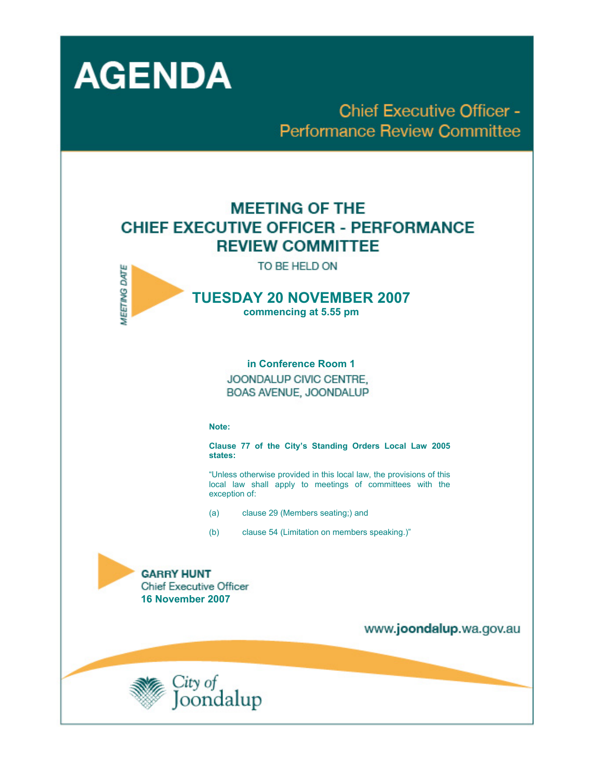

**Chief Executive Officer -Performance Review Committee** 

# **MEETING OF THE CHIEF EXECUTIVE OFFICER - PERFORMANCE REVIEW COMMITTEE**





## **TUESDAY 20 NOVEMBER 2007 commencing at 5.55 pm**

**in Conference Room 1**  JOONDALUP CIVIC CENTRE. BOAS AVENUE, JOONDALUP

**Note:** 

**Clause 77 of the City's Standing Orders Local Law 2005 states:** 

"Unless otherwise provided in this local law, the provisions of this local law shall apply to meetings of committees with the exception of:

- (a) clause 29 (Members seating;) and
- (b) clause 54 (Limitation on members speaking.)"

## **GARRY HUNT**

**Chief Executive Officer 16 November 2007** 



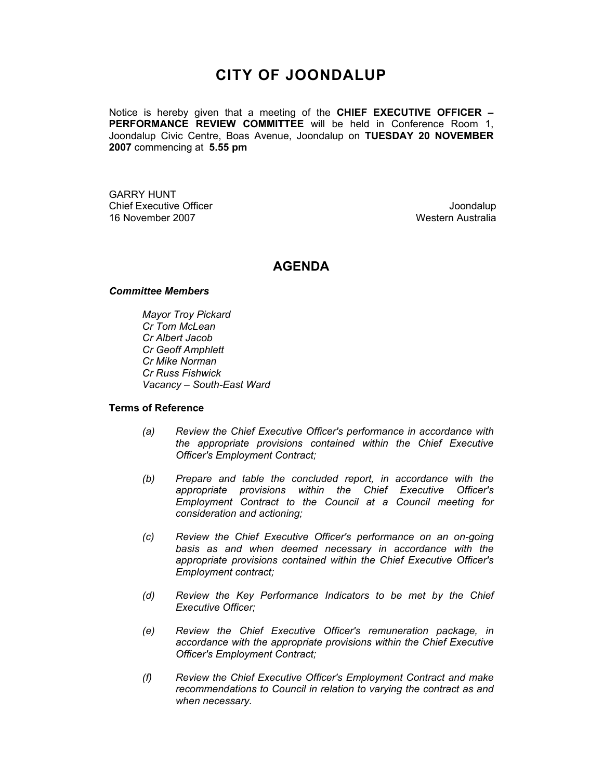## **CITY OF JOONDALUP**

Notice is hereby given that a meeting of the **CHIEF EXECUTIVE OFFICER – PERFORMANCE REVIEW COMMITTEE** will be held in Conference Room 1, Joondalup Civic Centre, Boas Avenue, Joondalup on **TUESDAY 20 NOVEMBER 2007** commencing at **5.55 pm** 

GARRY HUNT Chief Executive Officer **Chief Executive Officer** Joondalup 16 November 2007 Western Australia

## **AGENDA**

#### *Committee Members*

*Mayor Troy Pickard Cr Tom McLean Cr Albert Jacob Cr Geoff Amphlett Cr Mike Norman Cr Russ Fishwick Vacancy – South-East Ward* 

#### **Terms of Reference**

- *(a) Review the Chief Executive Officer's performance in accordance with the appropriate provisions contained within the Chief Executive Officer's Employment Contract;*
- *(b) Prepare and table the concluded report, in accordance with the appropriate provisions within the Chief Executive Officer's Employment Contract to the Council at a Council meeting for consideration and actioning;*
- *(c) Review the Chief Executive Officer's performance on an on-going basis as and when deemed necessary in accordance with the appropriate provisions contained within the Chief Executive Officer's Employment contract;*
- *(d) Review the Key Performance Indicators to be met by the Chief Executive Officer;*
- *(e) Review the Chief Executive Officer's remuneration package, in accordance with the appropriate provisions within the Chief Executive Officer's Employment Contract;*
- *(f) Review the Chief Executive Officer's Employment Contract and make recommendations to Council in relation to varying the contract as and when necessary.*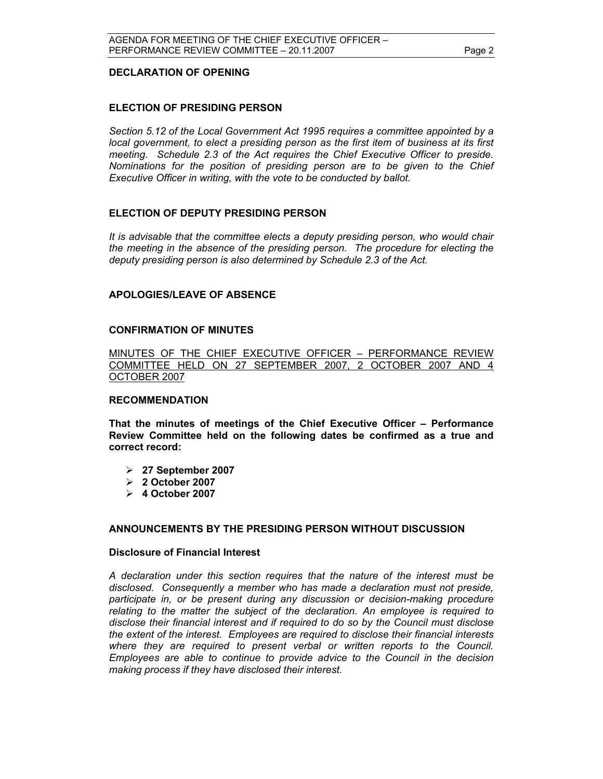#### **DECLARATION OF OPENING**

#### **ELECTION OF PRESIDING PERSON**

*Section 5.12 of the Local Government Act 1995 requires a committee appointed by a local government, to elect a presiding person as the first item of business at its first meeting. Schedule 2.3 of the Act requires the Chief Executive Officer to preside. Nominations for the position of presiding person are to be given to the Chief Executive Officer in writing, with the vote to be conducted by ballot.* 

#### **ELECTION OF DEPUTY PRESIDING PERSON**

*It is advisable that the committee elects a deputy presiding person, who would chair the meeting in the absence of the presiding person. The procedure for electing the deputy presiding person is also determined by Schedule 2.3 of the Act.* 

#### **APOLOGIES/LEAVE OF ABSENCE**

#### **CONFIRMATION OF MINUTES**

MINUTES OF THE CHIEF EXECUTIVE OFFICER – PERFORMANCE REVIEW COMMITTEE HELD ON 27 SEPTEMBER 2007, 2 OCTOBER 2007 AND 4 OCTOBER 2007

#### **RECOMMENDATION**

**That the minutes of meetings of the Chief Executive Officer – Performance Review Committee held on the following dates be confirmed as a true and correct record:** 

- ¾ **27 September 2007**
- ¾ **2 October 2007**
- ¾ **4 October 2007**

#### **ANNOUNCEMENTS BY THE PRESIDING PERSON WITHOUT DISCUSSION**

#### **Disclosure of Financial Interest**

 *A declaration under this section requires that the nature of the interest must be disclosed. Consequently a member who has made a declaration must not preside, participate in, or be present during any discussion or decision-making procedure relating to the matter the subject of the declaration. An employee is required to disclose their financial interest and if required to do so by the Council must disclose the extent of the interest. Employees are required to disclose their financial interests where they are required to present verbal or written reports to the Council. Employees are able to continue to provide advice to the Council in the decision making process if they have disclosed their interest.*